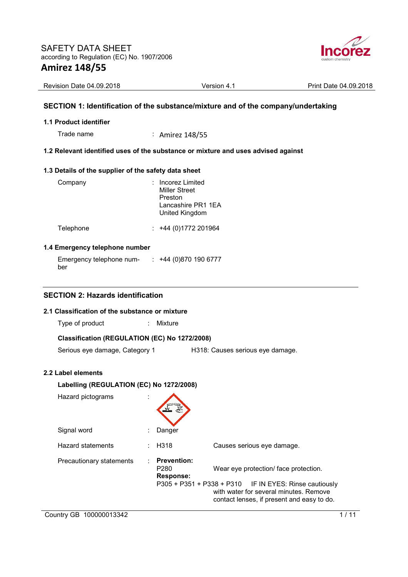

| Revision Date 04.09.2018 | Version 4.1 | Print Date 04.09.2018 |
|--------------------------|-------------|-----------------------|

### **SECTION 1: Identification of the substance/mixture and of the company/undertaking**

#### **1.1 Product identifier**

Trade name : Amirez 148/55

### **1.2 Relevant identified uses of the substance or mixture and uses advised against**

#### **1.3 Details of the supplier of the safety data sheet**

| Company   | : Incorez Limited<br><b>Miller Street</b><br>Preston<br>Lancashire PR1 1EA<br>United Kingdom |
|-----------|----------------------------------------------------------------------------------------------|
| Telephone | $\div$ +44 (0)1772 201964                                                                    |

#### **1.4 Emergency telephone number**

Emergency telephone number : +44 (0)870 190 6777

#### **SECTION 2: Hazards identification**

#### **2.1 Classification of the substance or mixture**

Type of product : Mixture

## **Classification (REGULATION (EC) No 1272/2008)**

Serious eye damage, Category 1 H318: Causes serious eye damage.

#### **2.2 Label elements**

# **Labelling (REGULATION (EC) No 1272/2008)**  Hazard pictograms : Signal word : Danger Hazard statements : H318 Causes serious eye damage. Precautionary statements : **Prevention:**  P280 Wear eye protection/ face protection. **Response:**  P305 + P351 + P338 + P310 IF IN EYES: Rinse cautiously with water for several minutes. Remove contact lenses, if present and easy to do.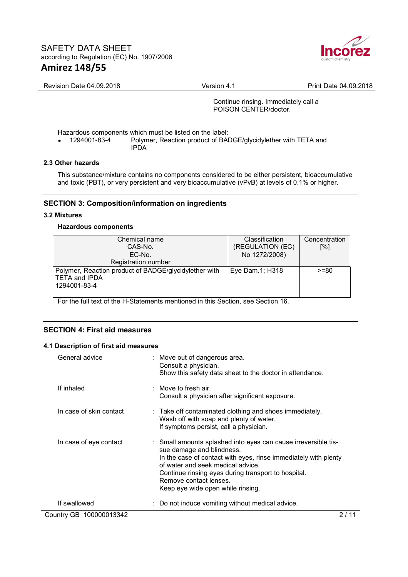

Revision Date 04.09.2018 **Version 4.1** Version 4.1 Print Date 04.09.2018

Continue rinsing. Immediately call a POISON CENTER/doctor.

Hazardous components which must be listed on the label:<br>• 1294001-83-4 Polymer, Reaction product of BAI

• 1294001-83-4 Polymer, Reaction product of BADGE/glycidylether with TETA and IPDA

## **2.3 Other hazards**

This substance/mixture contains no components considered to be either persistent, bioaccumulative and toxic (PBT), or very persistent and very bioaccumulative (vPvB) at levels of 0.1% or higher.

## **SECTION 3: Composition/information on ingredients**

#### **3.2 Mixtures**

#### **Hazardous components**

| Chemical name<br>CAS-No.<br>EC-No.                                                            | <b>Classification</b><br>(REGULATION (EC)<br>No 1272/2008) | Concentration<br>[%] |
|-----------------------------------------------------------------------------------------------|------------------------------------------------------------|----------------------|
| Registration number                                                                           |                                                            |                      |
| Polymer, Reaction product of BADGE/glycidylether with<br><b>TETA and IPDA</b><br>1294001-83-4 | Eye Dam.1; H318                                            | $>= 80$              |

For the full text of the H-Statements mentioned in this Section, see Section 16.

## **SECTION 4: First aid measures**

#### **4.1 Description of first aid measures**

| General advice          | : Move out of dangerous area.<br>Consult a physician.<br>Show this safety data sheet to the doctor in attendance.                                                                                                                                                                                                         |
|-------------------------|---------------------------------------------------------------------------------------------------------------------------------------------------------------------------------------------------------------------------------------------------------------------------------------------------------------------------|
| If inhaled              | : Move to fresh air.<br>Consult a physician after significant exposure.                                                                                                                                                                                                                                                   |
| In case of skin contact | : Take off contaminated clothing and shoes immediately.<br>Wash off with soap and plenty of water.<br>If symptoms persist, call a physician.                                                                                                                                                                              |
| In case of eye contact  | : Small amounts splashed into eyes can cause irreversible tis-<br>sue damage and blindness.<br>In the case of contact with eyes, rinse immediately with plenty<br>of water and seek medical advice.<br>Continue rinsing eyes during transport to hospital.<br>Remove contact lenses.<br>Keep eye wide open while rinsing. |
| If swallowed            | : Do not induce vomiting without medical advice.                                                                                                                                                                                                                                                                          |
| Country GB 100000013342 | 2 / 11                                                                                                                                                                                                                                                                                                                    |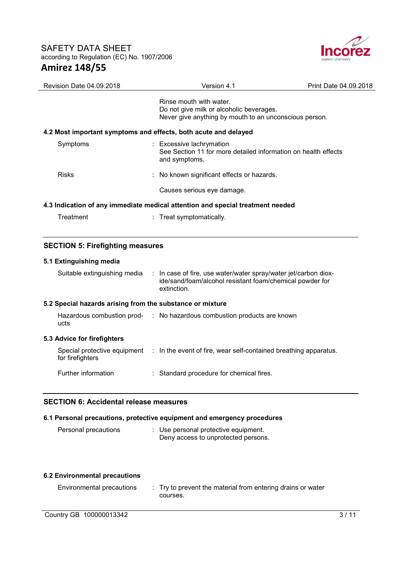

| <b>Revision Date 04.09.2018</b> | Version 4.1                                                                                                                   | Print Date 04.09.2018 |
|---------------------------------|-------------------------------------------------------------------------------------------------------------------------------|-----------------------|
|                                 | Rinse mouth with water.<br>Do not give milk or alcoholic beverages.<br>Never give anything by mouth to an unconscious person. |                       |
|                                 | 4.2 Most important symptoms and effects, both acute and delayed                                                               |                       |
| Symptoms                        | : Excessive lachrymation<br>See Section 11 for more detailed information on health effects<br>and symptoms.                   |                       |
| <b>Risks</b>                    | : No known significant effects or hazards.                                                                                    |                       |
|                                 | Causes serious eye damage.                                                                                                    |                       |
|                                 | 4.3 Indication of any immediate medical attention and special treatment needed                                                |                       |
| Treatment                       | : Treat symptomatically.                                                                                                      |                       |

## **SECTION 5: Firefighting measures**

## **5.1 Extinguishing media**

| Suitable extinguishing media                              | : In case of fire, use water/water spray/water jet/carbon diox-<br>ide/sand/foam/alcohol resistant foam/chemical powder for<br>extinction. |
|-----------------------------------------------------------|--------------------------------------------------------------------------------------------------------------------------------------------|
| 5.2 Special hazards arising from the substance or mixture |                                                                                                                                            |
| ucts                                                      | Hazardous combustion prod- : No hazardous combustion products are known                                                                    |
| 5.3 Advice for firefighters                               |                                                                                                                                            |
| for firefighters                                          | Special protective equipment : In the event of fire, wear self-contained breathing apparatus.                                              |
| Further information                                       | : Standard procedure for chemical fires.                                                                                                   |

## **SECTION 6: Accidental release measures**

#### **6.1 Personal precautions, protective equipment and emergency procedures**

| Personal precautions |  | : Use personal protective equipment. |
|----------------------|--|--------------------------------------|
|                      |  | Deny access to unprotected persons.  |

#### **6.2 Environmental precautions**

| <b>Environmental precautions</b> | : Try to prevent the material from entering drains or water |
|----------------------------------|-------------------------------------------------------------|
|                                  | courses.                                                    |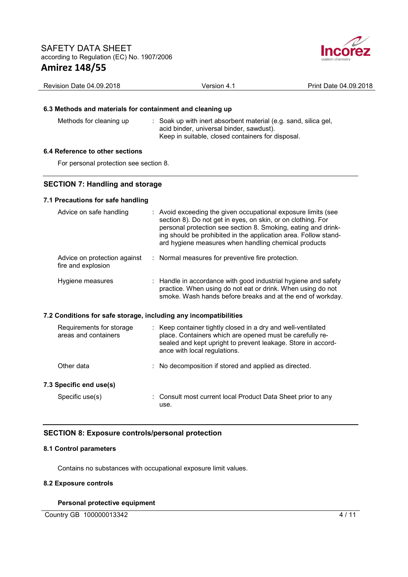

| Revision Date 04.09.2018                                                          | Version 4.1                                                                                                                                                                                                                                                                                                               | Print Date 04.09.2018 |  |  |  |
|-----------------------------------------------------------------------------------|---------------------------------------------------------------------------------------------------------------------------------------------------------------------------------------------------------------------------------------------------------------------------------------------------------------------------|-----------------------|--|--|--|
|                                                                                   |                                                                                                                                                                                                                                                                                                                           |                       |  |  |  |
| 6.3 Methods and materials for containment and cleaning up                         |                                                                                                                                                                                                                                                                                                                           |                       |  |  |  |
| Methods for cleaning up                                                           | : Soak up with inert absorbent material (e.g. sand, silica gel,<br>acid binder, universal binder, sawdust).<br>Keep in suitable, closed containers for disposal.                                                                                                                                                          |                       |  |  |  |
| 6.4 Reference to other sections                                                   |                                                                                                                                                                                                                                                                                                                           |                       |  |  |  |
| For personal protection see section 8.                                            |                                                                                                                                                                                                                                                                                                                           |                       |  |  |  |
|                                                                                   |                                                                                                                                                                                                                                                                                                                           |                       |  |  |  |
| <b>SECTION 7: Handling and storage</b>                                            |                                                                                                                                                                                                                                                                                                                           |                       |  |  |  |
| 7.1 Precautions for safe handling                                                 |                                                                                                                                                                                                                                                                                                                           |                       |  |  |  |
| Advice on safe handling                                                           | : Avoid exceeding the given occupational exposure limits (see<br>section 8). Do not get in eyes, on skin, or on clothing. For<br>personal protection see section 8. Smoking, eating and drink-<br>ing should be prohibited in the application area. Follow stand-<br>ard hygiene measures when handling chemical products |                       |  |  |  |
| Advice on protection against<br>fire and explosion                                | : Normal measures for preventive fire protection.                                                                                                                                                                                                                                                                         |                       |  |  |  |
| Hygiene measures                                                                  | : Handle in accordance with good industrial hygiene and safety<br>practice. When using do not eat or drink. When using do not<br>smoke. Wash hands before breaks and at the end of workday.                                                                                                                               |                       |  |  |  |
| 7.2 Conditions for safe storage, including any incompatibilities                  |                                                                                                                                                                                                                                                                                                                           |                       |  |  |  |
| Requirements for storage<br>areas and containers                                  | : Keep container tightly closed in a dry and well-ventilated<br>place. Containers which are opened must be carefully re-<br>sealed and kept upright to prevent leakage. Store in accord-<br>ance with local regulations.                                                                                                  |                       |  |  |  |
| Other data                                                                        | No decomposition if stored and applied as directed.                                                                                                                                                                                                                                                                       |                       |  |  |  |
| 7.3 Specific end use(s)                                                           |                                                                                                                                                                                                                                                                                                                           |                       |  |  |  |
| Specific use(s)                                                                   | Consult most current local Product Data Sheet prior to any<br>use.                                                                                                                                                                                                                                                        |                       |  |  |  |
| <b>SECTION 8: Exposure controls/personal protection</b><br>8.1 Control parameters |                                                                                                                                                                                                                                                                                                                           |                       |  |  |  |
|                                                                                   |                                                                                                                                                                                                                                                                                                                           |                       |  |  |  |

Contains no substances with occupational exposure limit values.

## **8.2 Exposure controls**

#### **Personal protective equipment**

Country GB 100000013342 4/11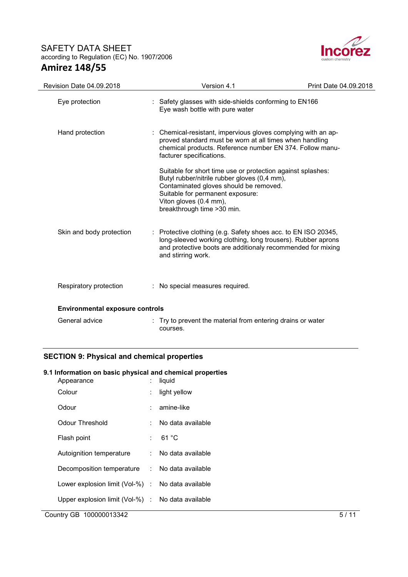

| Revision Date 04.09.2018               | Version 4.1                                                                                                                                                                                                                                        | Print Date 04.09.2018 |
|----------------------------------------|----------------------------------------------------------------------------------------------------------------------------------------------------------------------------------------------------------------------------------------------------|-----------------------|
| Eye protection                         | : Safety glasses with side-shields conforming to EN166<br>Eye wash bottle with pure water                                                                                                                                                          |                       |
| Hand protection                        | : Chemical-resistant, impervious gloves complying with an ap-<br>proved standard must be worn at all times when handling<br>chemical products. Reference number EN 374. Follow manu-<br>facturer specifications.                                   |                       |
|                                        | Suitable for short time use or protection against splashes:<br>Butyl rubber/nitrile rubber gloves (0,4 mm),<br>Contaminated gloves should be removed.<br>Suitable for permanent exposure:<br>Viton gloves (0.4 mm),<br>breakthrough time > 30 min. |                       |
| Skin and body protection               | : Protective clothing (e.g. Safety shoes acc. to EN ISO 20345,<br>long-sleeved working clothing, long trousers). Rubber aprons<br>and protective boots are additionaly recommended for mixing<br>and stirring work.                                |                       |
| Respiratory protection                 | : No special measures required.                                                                                                                                                                                                                    |                       |
| <b>Environmental exposure controls</b> |                                                                                                                                                                                                                                                    |                       |
| General advice                         | : Try to prevent the material from entering drains or water<br>courses.                                                                                                                                                                            |                       |

## **SECTION 9: Physical and chemical properties**

## **9.1 Information on basic physical and chemical properties**

| Appearance                                        | t. | liquid            |      |
|---------------------------------------------------|----|-------------------|------|
| Colour                                            | t. | light yellow      |      |
| Odour                                             | t. | amine-like        |      |
| Odour Threshold                                   | t. | No data available |      |
| Flash point                                       | t. | 61 °C             |      |
| Autoignition temperature                          | t. | No data available |      |
| Decomposition temperature : No data available     |    |                   |      |
| Lower explosion limit (Vol-%) : No data available |    |                   |      |
| Upper explosion limit (Vol-%) : No data available |    |                   |      |
| Country GB 100000013342                           |    |                   | 5/11 |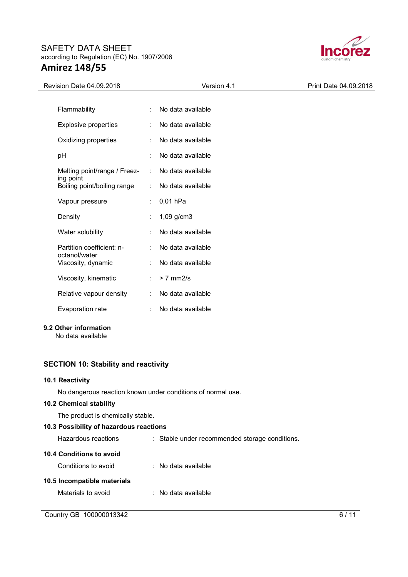

| Revision Date 04.09.2018                   |    | Version 4.1       | Print Date 04.09.2018 |
|--------------------------------------------|----|-------------------|-----------------------|
|                                            |    |                   |                       |
| Flammability                               | ÷  | No data available |                       |
| <b>Explosive properties</b>                | ÷  | No data available |                       |
| Oxidizing properties                       |    | No data available |                       |
| pH                                         | ÷  | No data available |                       |
| Melting point/range / Freez-<br>ing point  | ÷  | No data available |                       |
| Boiling point/boiling range                |    | No data available |                       |
| Vapour pressure                            |    | : $0,01$ hPa      |                       |
| Density                                    |    | 1,09 g/cm3        |                       |
| Water solubility                           | ÷  | No data available |                       |
| Partition coefficient: n-<br>octanol/water |    | No data available |                       |
| Viscosity, dynamic                         |    | No data available |                       |
| Viscosity, kinematic                       | ÷. | $> 7$ mm2/s       |                       |
| Relative vapour density                    | ÷  | No data available |                       |
| Evaporation rate                           | ÷  | No data available |                       |
|                                            |    |                   |                       |

## **9.2 Other information**

No data available

## **SECTION 10: Stability and reactivity**

#### **10.1 Reactivity**

No dangerous reaction known under conditions of normal use.

#### **10.2 Chemical stability**

The product is chemically stable.

### **10.3 Possibility of hazardous reactions**

| Hazardous reactions         | : Stable under recommended storage conditions. |   |
|-----------------------------|------------------------------------------------|---|
| 10.4 Conditions to avoid    |                                                |   |
| Conditions to avoid         | $\therefore$ No data available                 |   |
| 10.5 Incompatible materials |                                                |   |
| Materials to avoid          | $\therefore$ No data available                 |   |
|                             |                                                |   |
| Country GB 100000013342     |                                                | 6 |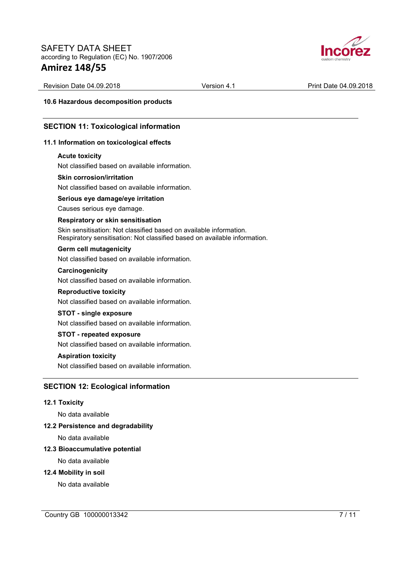

Revision Date 04.09.2018 **Version 4.1** Print Date 04.09.2018

**10.6 Hazardous decomposition products** 

### **SECTION 11: Toxicological information**

#### **11.1 Information on toxicological effects**

#### **Acute toxicity**

Not classified based on available information.

#### **Skin corrosion/irritation**

Not classified based on available information.

#### **Serious eye damage/eye irritation**

Causes serious eye damage.

#### **Respiratory or skin sensitisation**

Skin sensitisation: Not classified based on available information. Respiratory sensitisation: Not classified based on available information.

#### **Germ cell mutagenicity**

Not classified based on available information.

#### **Carcinogenicity**

Not classified based on available information.

#### **Reproductive toxicity**

Not classified based on available information.

### **STOT - single exposure**

Not classified based on available information.

## **STOT - repeated exposure**

Not classified based on available information.

#### **Aspiration toxicity**

Not classified based on available information.

### **SECTION 12: Ecological information**

#### **12.1 Toxicity**

No data available

#### **12.2 Persistence and degradability**

No data available

#### **12.3 Bioaccumulative potential**

No data available

#### **12.4 Mobility in soil**

No data available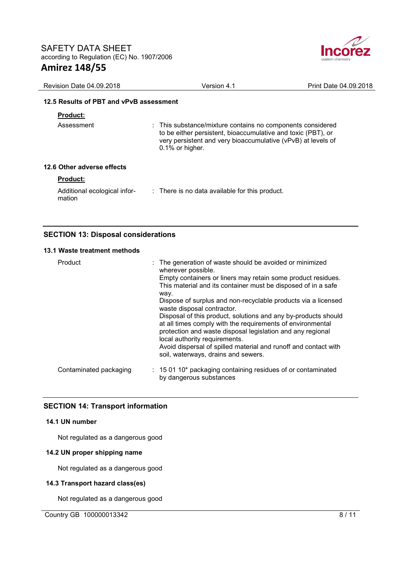

| Revision Date 04.09.2018                | Version 4.1                                                                                                                                                                                                   | Print Date 04.09.2018 |
|-----------------------------------------|---------------------------------------------------------------------------------------------------------------------------------------------------------------------------------------------------------------|-----------------------|
| 12.5 Results of PBT and vPvB assessment |                                                                                                                                                                                                               |                       |
| <b>Product:</b>                         |                                                                                                                                                                                                               |                       |
| Assessment                              | : This substance/mixture contains no components considered<br>to be either persistent, bioaccumulative and toxic (PBT), or<br>very persistent and very bioaccumulative (vPvB) at levels of<br>0.1% or higher. |                       |
| 12.6 Other adverse effects              |                                                                                                                                                                                                               |                       |
| <b>Product:</b>                         |                                                                                                                                                                                                               |                       |
| Additional ecological infor-<br>mation  | $\therefore$ There is no data available for this product.                                                                                                                                                     |                       |

## **SECTION 13: Disposal considerations**

#### **13.1 Waste treatment methods**

| Product                | : The generation of waste should be avoided or minimized<br>wherever possible.<br>Empty containers or liners may retain some product residues.<br>This material and its container must be disposed of in a safe<br>way.<br>Dispose of surplus and non-recyclable products via a licensed<br>waste disposal contractor.<br>Disposal of this product, solutions and any by-products should<br>at all times comply with the requirements of environmental<br>protection and waste disposal legislation and any regional<br>local authority requirements.<br>Avoid dispersal of spilled material and runoff and contact with<br>soil, waterways, drains and sewers. |
|------------------------|-----------------------------------------------------------------------------------------------------------------------------------------------------------------------------------------------------------------------------------------------------------------------------------------------------------------------------------------------------------------------------------------------------------------------------------------------------------------------------------------------------------------------------------------------------------------------------------------------------------------------------------------------------------------|
| Contaminated packaging | $: 150110*$ packaging containing residues of or contaminated<br>by dangerous substances                                                                                                                                                                                                                                                                                                                                                                                                                                                                                                                                                                         |

### **SECTION 14: Transport information**

#### **14.1 UN number**

Not regulated as a dangerous good

#### **14.2 UN proper shipping name**

Not regulated as a dangerous good

#### **14.3 Transport hazard class(es)**

Not regulated as a dangerous good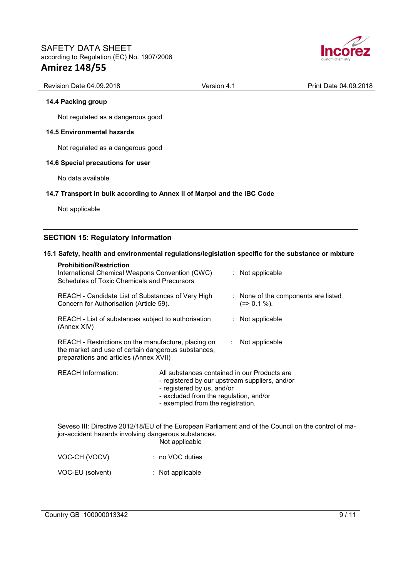

| <b>Revision Date 04.09.2018</b> | Version 4. . | Print Date 04.09.2018 |
|---------------------------------|--------------|-----------------------|
|                                 |              |                       |

#### **14.4 Packing group**

Not regulated as a dangerous good

#### **14.5 Environmental hazards**

Not regulated as a dangerous good

#### **14.6 Special precautions for user**

No data available

#### **14.7 Transport in bulk according to Annex II of Marpol and the IBC Code**

Not applicable

## **SECTION 15: Regulatory information**

#### **15.1 Safety, health and environmental regulations/legislation specific for the substance or mixture**

| <b>Prohibition/Restriction</b><br>International Chemical Weapons Convention (CWC)<br>Schedules of Toxic Chemicals and Precursors                     |                                                                                                                                                                                                             |                              | : Not applicable                                                                                     |
|------------------------------------------------------------------------------------------------------------------------------------------------------|-------------------------------------------------------------------------------------------------------------------------------------------------------------------------------------------------------------|------------------------------|------------------------------------------------------------------------------------------------------|
| REACH - Candidate List of Substances of Very High<br>Concern for Authorisation (Article 59).                                                         |                                                                                                                                                                                                             |                              | : None of the components are listed<br>$(=>0.1\%).$                                                  |
| REACH - List of substances subject to authorisation<br>(Annex XIV)                                                                                   |                                                                                                                                                                                                             |                              | : Not applicable                                                                                     |
| REACH - Restrictions on the manufacture, placing on<br>the market and use of certain dangerous substances,<br>preparations and articles (Annex XVII) |                                                                                                                                                                                                             | $\mathcal{L}_{\mathrm{max}}$ | Not applicable                                                                                       |
| <b>REACH Information:</b>                                                                                                                            | All substances contained in our Products are<br>- registered by our upstream suppliers, and/or<br>- registered by us, and/or<br>- excluded from the regulation, and/or<br>- exempted from the registration. |                              |                                                                                                      |
| jor-accident hazards involving dangerous substances.                                                                                                 | Not applicable                                                                                                                                                                                              |                              | Seveso III: Directive 2012/18/EU of the European Parliament and of the Council on the control of ma- |
| VOC-CH (VOCV)                                                                                                                                        | $: no VOC$ duties                                                                                                                                                                                           |                              |                                                                                                      |
| VOC-EU (solvent)                                                                                                                                     | : Not applicable                                                                                                                                                                                            |                              |                                                                                                      |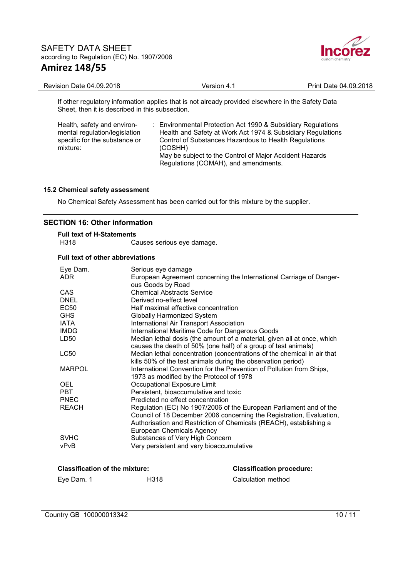

| Revision Date 04.09.2018                                                                          | Version 4.1 | Print Date 04.09.2018 |
|---------------------------------------------------------------------------------------------------|-------------|-----------------------|
| If other regulatory information applies that is not already provided elsewhere in the Safety Data |             |                       |

Sheet, then it is described in this subsection.

| Health, safety and environ-<br>mental regulation/legislation<br>specific for the substance or | : Environmental Protection Act 1990 & Subsidiary Regulations<br>Health and Safety at Work Act 1974 & Subsidiary Regulations<br>Control of Substances Hazardous to Health Regulations |
|-----------------------------------------------------------------------------------------------|--------------------------------------------------------------------------------------------------------------------------------------------------------------------------------------|
| mixture:                                                                                      | (COSHH)                                                                                                                                                                              |
|                                                                                               | May be subject to the Control of Major Accident Hazards                                                                                                                              |
|                                                                                               | Regulations (COMAH), and amendments.                                                                                                                                                 |

#### **15.2 Chemical safety assessment**

No Chemical Safety Assessment has been carried out for this mixture by the supplier.

## **SECTION 16: Other information**

| <b>Full text of H-Statements</b> |                            |
|----------------------------------|----------------------------|
| H318                             | Causes serious eye damage. |

#### **Full text of other abbreviations**

| Eye Dam.      | Serious eye damage                                                      |
|---------------|-------------------------------------------------------------------------|
| ADR.          | European Agreement concerning the International Carriage of Danger-     |
|               | ous Goods by Road                                                       |
| CAS           | <b>Chemical Abstracts Service</b>                                       |
| <b>DNEL</b>   | Derived no-effect level                                                 |
| <b>EC50</b>   | Half maximal effective concentration                                    |
| <b>GHS</b>    | <b>Globally Harmonized System</b>                                       |
| <b>IATA</b>   | <b>International Air Transport Association</b>                          |
| <b>IMDG</b>   | International Maritime Code for Dangerous Goods                         |
| LD50          | Median lethal dosis (the amount of a material, given all at once, which |
|               | causes the death of 50% (one half) of a group of test animals)          |
| LC50          | Median lethal concentration (concentrations of the chemical in air that |
|               | kills 50% of the test animals during the observation period)            |
| <b>MARPOL</b> | International Convention for the Prevention of Pollution from Ships,    |
|               | 1973 as modified by the Protocol of 1978                                |
| <b>OEL</b>    | Occupational Exposure Limit                                             |
| <b>PBT</b>    | Persistent, bioaccumulative and toxic                                   |
| <b>PNEC</b>   | Predicted no effect concentration                                       |
| <b>REACH</b>  | Regulation (EC) No 1907/2006 of the European Parliament and of the      |
|               | Council of 18 December 2006 concerning the Registration, Evaluation,    |
|               | Authorisation and Restriction of Chemicals (REACH), establishing a      |
|               | European Chemicals Agency                                               |
| <b>SVHC</b>   | Substances of Very High Concern                                         |
| vPvB          | Very persistent and very bioaccumulative                                |
|               |                                                                         |

# **Classification of the mixture: Classification procedure:** Eye Dam. 1 **H318** H318 Calculation method